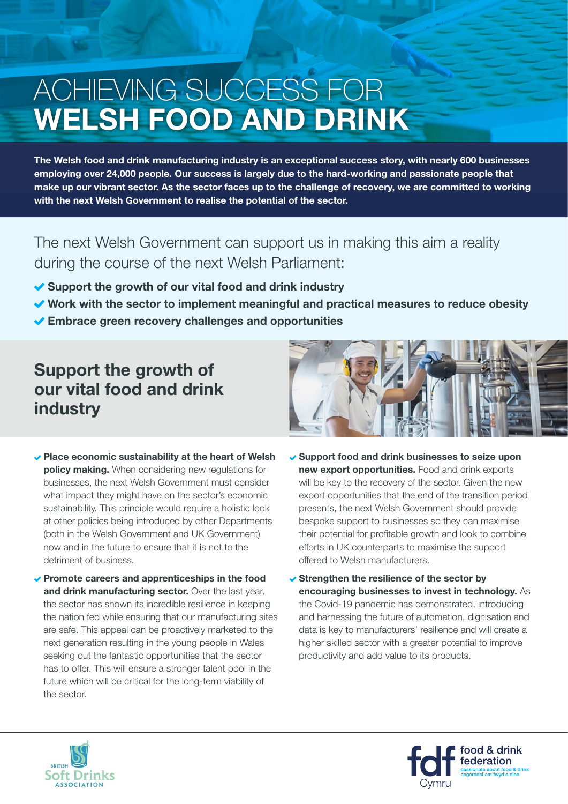# ACHIEVING SUCCESS FOR **WELSH FOOD AND DRINK**

**The Welsh food and drink manufacturing industry is an exceptional success story, with nearly 600 businesses employing over 24,000 people. Our success is largely due to the hard-working and passionate people that make up our vibrant sector. As the sector faces up to the challenge of recovery, we are committed to working with the next Welsh Government to realise the potential of the sector.** 

The next Welsh Government can support us in making this aim a reality during the course of the next Welsh Parliament:

- ◆ Support the growth of our vital food and drink industry
- ◆ Work with the sector to implement meaningful and practical measures to reduce obesity
- **Embrace green recovery challenges and opportunities**

## **Support the growth of our vital food and drink industry**

- **Place economic sustainability at the heart of Welsh policy making.** When considering new regulations for businesses, the next Welsh Government must consider what impact they might have on the sector's economic sustainability. This principle would require a holistic look at other policies being introduced by other Departments (both in the Welsh Government and UK Government) now and in the future to ensure that it is not to the detriment of business.
- **Promote careers and apprenticeships in the food**  and drink manufacturing sector. Over the last year, the sector has shown its incredible resilience in keeping the nation fed while ensuring that our manufacturing sites are safe. This appeal can be proactively marketed to the next generation resulting in the young people in Wales seeking out the fantastic opportunities that the sector has to offer. This will ensure a stronger talent pool in the future which will be critical for the long-term viability of the sector.



- **Support food and drink businesses to seize upon new export opportunities.** Food and drink exports will be key to the recovery of the sector. Given the new export opportunities that the end of the transition period presents, the next Welsh Government should provide bespoke support to businesses so they can maximise their potential for profitable growth and look to combine efforts in UK counterparts to maximise the support offered to Welsh manufacturers.
- **► Strengthen the resilience of the sector by encouraging businesses to invest in technology.** As the Covid-19 pandemic has demonstrated, introducing and harnessing the future of automation, digitisation and data is key to manufacturers' resilience and will create a higher skilled sector with a greater potential to improve productivity and add value to its products.